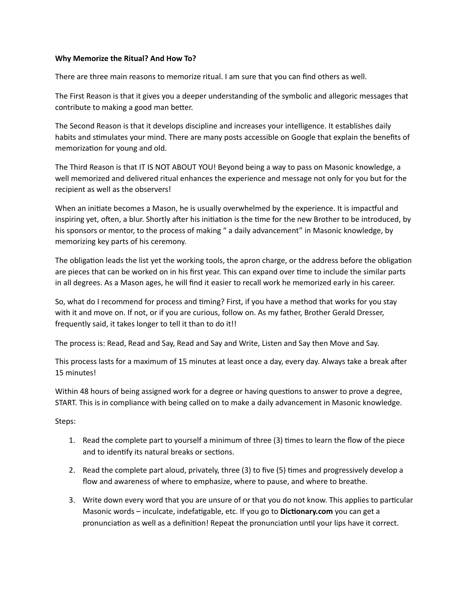## **Why Memorize the Ritual? And How To?**

There are three main reasons to memorize ritual. I am sure that you can find others as well.

The First Reason is that it gives you a deeper understanding of the symbolic and allegoric messages that contribute to making a good man better.

The Second Reason is that it develops discipline and increases your intelligence. It establishes daily habits and stimulates your mind. There are many posts accessible on Google that explain the benefits of memorization for young and old.

The Third Reason is that IT IS NOT ABOUT YOU! Beyond being a way to pass on Masonic knowledge, a well memorized and delivered ritual enhances the experience and message not only for you but for the recipient as well as the observers!

When an initiate becomes a Mason, he is usually overwhelmed by the experience. It is impactful and inspiring yet, often, a blur. Shortly after his initiation is the time for the new Brother to be introduced, by his sponsors or mentor, to the process of making " a daily advancement" in Masonic knowledge, by memorizing key parts of his ceremony.

The obligation leads the list yet the working tools, the apron charge, or the address before the obligation are pieces that can be worked on in his first year. This can expand over time to include the similar parts in all degrees. As a Mason ages, he will find it easier to recall work he memorized early in his career.

So, what do I recommend for process and timing? First, if you have a method that works for you stay with it and move on. If not, or if you are curious, follow on. As my father, Brother Gerald Dresser, frequently said, it takes longer to tell it than to do it!!

The process is: Read, Read and Say, Read and Say and Write, Listen and Say then Move and Say.

This process lasts for a maximum of 15 minutes at least once a day, every day. Always take a break after 15 minutes!

Within 48 hours of being assigned work for a degree or having questions to answer to prove a degree, START. This is in compliance with being called on to make a daily advancement in Masonic knowledge.

Steps:

- 1. Read the complete part to yourself a minimum of three (3) times to learn the flow of the piece and to identify its natural breaks or sections.
- 2. Read the complete part aloud, privately, three (3) to five (5) times and progressively develop a flow and awareness of where to emphasize, where to pause, and where to breathe.
- 3. Write down every word that you are unsure of or that you do not know. This applies to particular Masonic words – inculcate, indefatigable, etc. If you go to **Dictionary.com** you can get a pronunciation as well as a definition! Repeat the pronunciation until your lips have it correct.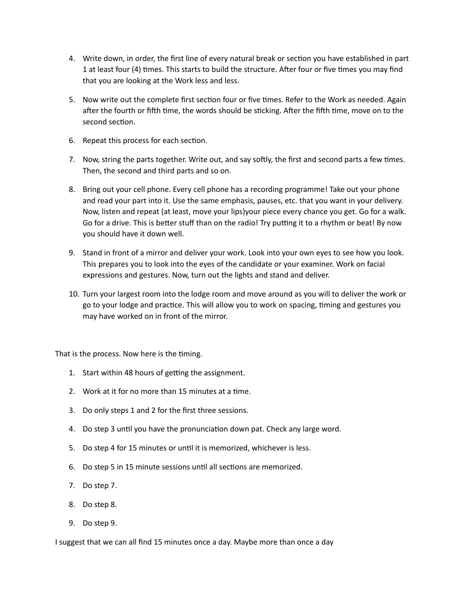- 4. Write down, in order, the first line of every natural break or section you have established in part 1 at least four (4) times. This starts to build the structure. After four or five times you may find that you are looking at the Work less and less.
- 5. Now write out the complete first section four or five times. Refer to the Work as needed. Again after the fourth or fifth time, the words should be sticking. After the fifth time, move on to the second section.
- 6. Repeat this process for each section.
- 7. Now, string the parts together. Write out, and say softly, the first and second parts a few times. Then, the second and third parts and so on.
- 8. Bring out your cell phone. Every cell phone has a recording programme! Take out your phone and read your part into it. Use the same emphasis, pauses, etc. that you want in your delivery. Now, listen and repeat (at least, move your lips)your piece every chance you get. Go for a walk. Go for a drive. This is better stuff than on the radio! Try putting it to a rhythm or beat! By now you should have it down well.
- 9. Stand in front of a mirror and deliver your work. Look into your own eyes to see how you look. This prepares you to look into the eyes of the candidate or your examiner. Work on facial expressions and gestures. Now, turn out the lights and stand and deliver.
- 10. Turn your largest room into the lodge room and move around as you will to deliver the work or go to your lodge and practice. This will allow you to work on spacing, timing and gestures you may have worked on in front of the mirror.

That is the process. Now here is the timing.

- 1. Start within 48 hours of getting the assignment.
- 2. Work at it for no more than 15 minutes at a time.
- 3. Do only steps 1 and 2 for the first three sessions.
- 4. Do step 3 until you have the pronunciation down pat. Check any large word.
- 5. Do step 4 for 15 minutes or until it is memorized, whichever is less.
- 6. Do step 5 in 15 minute sessions until all sections are memorized.
- 7. Do step 7.
- 8. Do step 8.
- 9. Do step 9.

I suggest that we can all find 15 minutes once a day. Maybe more than once a day